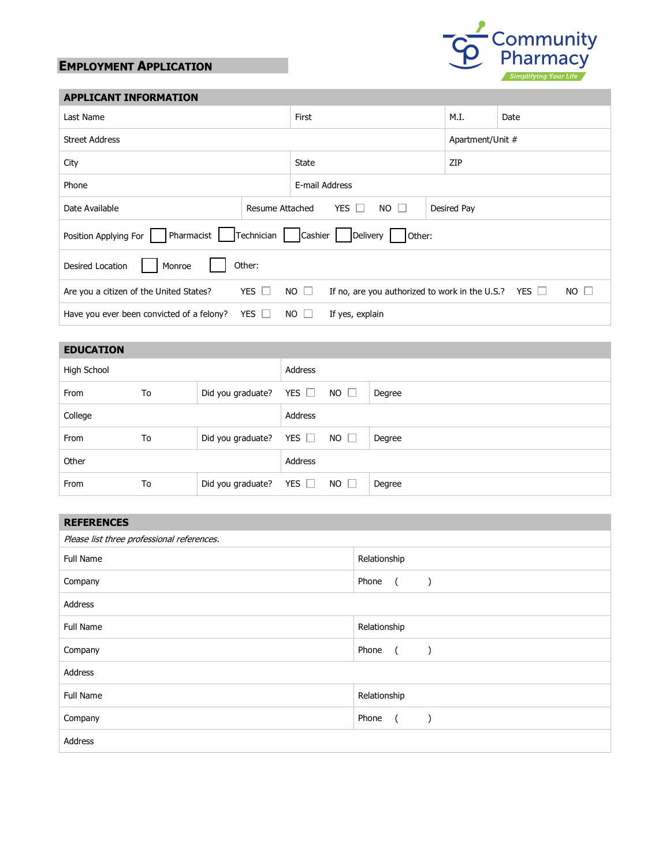## **EMPLOYMENT APPLICATION**



## **APPLICANT INFORMATION**

| Last Name                                                                                                                                        | First                                      |                 | M.I. | Date             |  |  |
|--------------------------------------------------------------------------------------------------------------------------------------------------|--------------------------------------------|-----------------|------|------------------|--|--|
| <b>Street Address</b>                                                                                                                            |                                            |                 |      | Apartment/Unit # |  |  |
| City                                                                                                                                             | <b>State</b>                               |                 | ZIP  |                  |  |  |
| Phone                                                                                                                                            |                                            | E-mail Address  |      |                  |  |  |
| Resume Attached<br>Date Available                                                                                                                | <b>YES</b><br>NO.<br>Desired Pay<br>$\Box$ |                 |      |                  |  |  |
| Pharmacist<br>Technician<br>Position Applying For<br>Cashier<br>Other:<br>Delivery                                                               |                                            |                 |      |                  |  |  |
| Other:<br>Desired Location<br>Monroe                                                                                                             |                                            |                 |      |                  |  |  |
| YES $\Box$<br>$NO$ $\Box$<br>$NO$ $\Box$<br>If no, are you authorized to work in the U.S.? YES $\Box$<br>Are you a citizen of the United States? |                                            |                 |      |                  |  |  |
| YES [<br>Have you ever been convicted of a felony?                                                                                               | NO.                                        | If yes, explain |      |                  |  |  |

## **EDUCATION**

| High School |    |                   | Address    |             |        |
|-------------|----|-------------------|------------|-------------|--------|
| From        | To | Did you graduate? | YES $\Box$ | $NO$ $\Box$ | Degree |
| College     |    |                   | Address    |             |        |
| From        | To | Did you graduate? | YES $\Box$ | $NO$ $\Box$ | Degree |
| Other       |    |                   | Address    |             |        |
| From        | To | Did you graduate? | YES $\Box$ | $NO$ $\Box$ | Degree |

| <b>REFERENCES</b>                          |                                      |  |  |  |
|--------------------------------------------|--------------------------------------|--|--|--|
| Please list three professional references. |                                      |  |  |  |
| <b>Full Name</b>                           | Relationship                         |  |  |  |
| Company                                    | Phone<br>$\sqrt{2}$<br>$\lambda$     |  |  |  |
| Address                                    |                                      |  |  |  |
| Full Name                                  | Relationship                         |  |  |  |
| Company                                    | Phone<br>$\sqrt{2}$<br>$\lambda$     |  |  |  |
| Address                                    |                                      |  |  |  |
| <b>Full Name</b>                           | Relationship                         |  |  |  |
| Company                                    | Phone<br>$\overline{a}$<br>$\lambda$ |  |  |  |
| Address                                    |                                      |  |  |  |